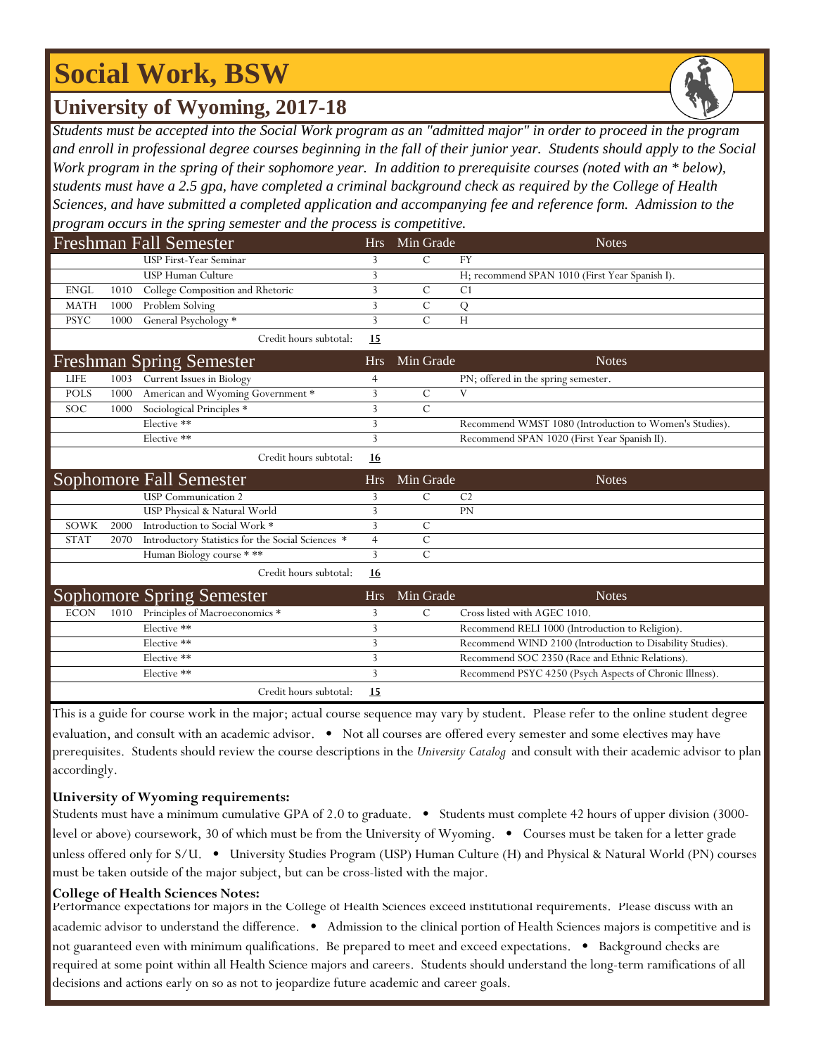## **Social Work, BSW**

### **University of Wyoming, 2017-18**

*Students must be accepted into the Social Work program as an "admitted major" in order to proceed in the program and enroll in professional degree courses beginning in the fall of their junior year. Students should apply to the Social Work program in the spring of their sophomore year. In addition to prerequisite courses (noted with an \* below), students must have a 2.5 gpa, have completed a criminal background check as required by the College of Health Sciences, and have submitted a completed application and accompanying fee and reference form. Admission to the program occurs in the spring semester and the process is competitive.*

|             |      | <b>Freshman Fall Semester</b>                                      | <b>Hrs</b>     | Min Grade     | <b>Notes</b>                                              |
|-------------|------|--------------------------------------------------------------------|----------------|---------------|-----------------------------------------------------------|
|             |      | <b>USP First-Year Seminar</b>                                      | 3              | $\mathcal{C}$ | <b>FY</b>                                                 |
|             |      | <b>USP Human Culture</b>                                           | 3              |               | H; recommend SPAN 1010 (First Year Spanish I).            |
| <b>ENGL</b> | 1010 | College Composition and Rhetoric                                   | 3              | $\mathcal{C}$ | C <sub>1</sub>                                            |
| <b>MATH</b> | 1000 | Problem Solving                                                    | 3              | $\mathcal{C}$ | Q                                                         |
| <b>PSYC</b> | 1000 | General Psychology *                                               | 3              | $\mathcal{C}$ | H                                                         |
|             |      | Credit hours subtotal:                                             | <u>15</u>      |               |                                                           |
|             |      | <b>Freshman Spring Semester</b>                                    | Hrs            | Min Grade     | <b>Notes</b>                                              |
| <b>LIFE</b> | 1003 | Current Issues in Biology                                          | 4              |               | PN; offered in the spring semester.                       |
| <b>POLS</b> | 1000 | American and Wyoming Government *                                  | 3              | $\mathcal{C}$ | V                                                         |
| SOC         | 1000 | Sociological Principles *                                          | 3              | $\mathcal{C}$ |                                                           |
|             |      | Elective **                                                        | 3              |               | Recommend WMST 1080 (Introduction to Women's Studies).    |
|             |      | Elective **                                                        | 3              |               | Recommend SPAN 1020 (First Year Spanish II).              |
|             |      | Credit hours subtotal:                                             | <u>16</u>      |               |                                                           |
|             |      | Sophomore Fall Semester                                            | <b>Hrs</b>     | Min Grade     | <b>Notes</b>                                              |
|             |      |                                                                    |                |               |                                                           |
|             |      | <b>USP</b> Communication 2                                         | 3              | $\mathcal{C}$ | C <sub>2</sub>                                            |
|             |      | USP Physical & Natural World                                       | 3              |               | <b>PN</b>                                                 |
| SOWK        | 2000 | Introduction to Social Work *                                      | 3              | $\mathcal{C}$ |                                                           |
| <b>STAT</b> | 2070 | Introductory Statistics for the Social Sciences *                  | $\overline{4}$ | $\mathcal{C}$ |                                                           |
|             |      | Human Biology course ***                                           | 3              | $\mathcal{C}$ |                                                           |
|             |      | Credit hours subtotal:                                             | <u>16</u>      |               |                                                           |
|             |      |                                                                    | <b>Hrs</b>     | Min Grade     | <b>Notes</b>                                              |
| <b>ECON</b> | 1010 | <b>Sophomore Spring Semester</b><br>Principles of Macroeconomics * | 3              | $\mathcal{C}$ | Cross listed with AGEC 1010.                              |
|             |      | Elective **                                                        | 3              |               | Recommend RELI 1000 (Introduction to Religion).           |
|             |      | Elective **                                                        | 3              |               | Recommend WIND 2100 (Introduction to Disability Studies). |
|             |      | Elective **                                                        | 3              |               | Recommend SOC 2350 (Race and Ethnic Relations).           |
|             |      | Elective **                                                        | 3              |               | Recommend PSYC 4250 (Psych Aspects of Chronic Illness).   |

This is a guide for course work in the major; actual course sequence may vary by student. Please refer to the online student degree evaluation, and consult with an academic advisor. • Not all courses are offered every semester and some electives may have prerequisites. Students should review the course descriptions in the *University Catalog* and consult with their academic advisor to plan accordingly.

### **University of Wyoming requirements:**

Students must have a minimum cumulative GPA of 2.0 to graduate. • Students must complete 42 hours of upper division (3000level or above) coursework, 30 of which must be from the University of Wyoming. • Courses must be taken for a letter grade unless offered only for S/U. • University Studies Program (USP) Human Culture (H) and Physical & Natural World (PN) courses must be taken outside of the major subject, but can be cross-listed with the major.

#### **College of Health Sciences Notes:**

Performance expectations for majors in the College of Health Sciences exceed institutional requirements. Please discuss with an academic advisor to understand the difference. • Admission to the clinical portion of Health Sciences majors is competitive and is not guaranteed even with minimum qualifications. Be prepared to meet and exceed expectations. • Background checks are required at some point within all Health Science majors and careers. Students should understand the long-term ramifications of all decisions and actions early on so as not to jeopardize future academic and career goals.